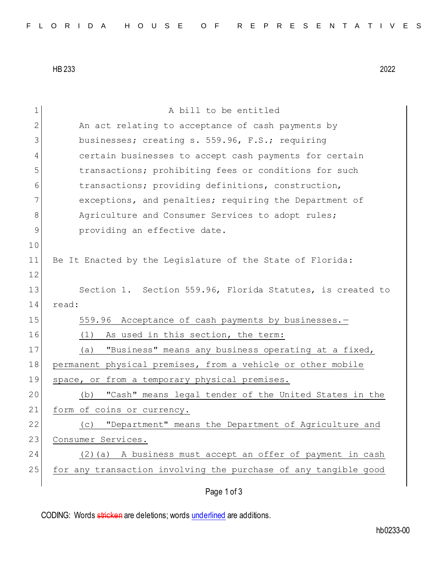HB 233 2022

| 1            | A bill to be entitled                                           |
|--------------|-----------------------------------------------------------------|
| $\mathbf{2}$ | An act relating to acceptance of cash payments by               |
| 3            |                                                                 |
|              | businesses; creating s. 559.96, F.S.; requiring                 |
| 4            | certain businesses to accept cash payments for certain          |
| 5            | transactions; prohibiting fees or conditions for such           |
| 6            | transactions; providing definitions, construction,              |
| 7            | exceptions, and penalties; requiring the Department of          |
| 8            | Agriculture and Consumer Services to adopt rules;               |
| 9            | providing an effective date.                                    |
| 10           |                                                                 |
| 11           | Be It Enacted by the Legislature of the State of Florida:       |
| 12           |                                                                 |
| 13           | Section 1. Section 559.96, Florida Statutes, is created to      |
| 14           | read:                                                           |
| 15           | 559.96 Acceptance of cash payments by businesses.-              |
| 16           | As used in this section, the term:<br>(1)                       |
|              |                                                                 |
| 17           | "Business" means any business operating at a fixed,<br>(a)      |
| 18           | permanent physical premises, from a vehicle or other mobile     |
| 19           | space, or from a temporary physical premises.                   |
| 20           | "Cash" means legal tender of the United States in the<br>(b)    |
| 21           | form of coins or currency.                                      |
| 22           | "Department" means the Department of Agriculture and<br>(C)     |
| 23           | Consumer Services.                                              |
| 24           | A business must accept an offer of payment in cash<br>$(2)$ (a) |
| 25           | for any transaction involving the purchase of any tangible good |
|              |                                                                 |
|              | Page 1 of 3                                                     |

CODING: Words stricken are deletions; words underlined are additions.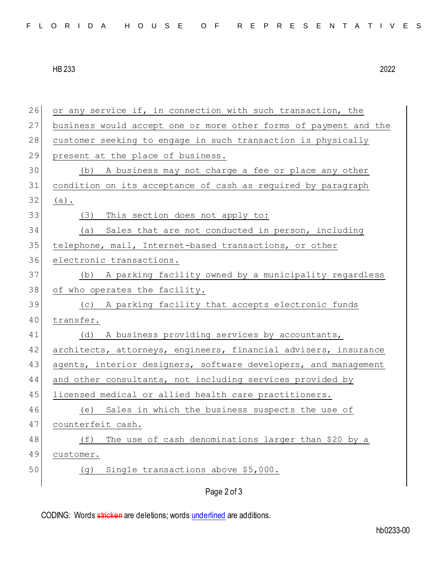|  |  |  |  |  |  |  |  |  | FLORIDA HOUSE OF REPRESENTATIVES |
|--|--|--|--|--|--|--|--|--|----------------------------------|
|--|--|--|--|--|--|--|--|--|----------------------------------|

HB 233 2022

| 26 | or any service if, in connection with such transaction, the      |
|----|------------------------------------------------------------------|
| 27 | business would accept one or more other forms of payment and the |
| 28 | customer seeking to engage in such transaction is physically     |
| 29 | present at the place of business.                                |
| 30 | (b) A business may not charge a fee or place any other           |
| 31 | condition on its acceptance of cash as required by paragraph     |
| 32 | $(a)$ .                                                          |
| 33 | (3) This section does not apply to:                              |
| 34 | Sales that are not conducted in person, including<br>(a)         |
| 35 | telephone, mail, Internet-based transactions, or other           |
| 36 | electronic transactions.                                         |
| 37 | (b) A parking facility owned by a municipality regardless        |
| 38 | of who operates the facility.                                    |
| 39 | (c) A parking facility that accepts electronic funds             |
| 40 | transfer.                                                        |
| 41 | (d) A business providing services by accountants,                |
| 42 | architects, attorneys, engineers, financial advisers, insurance  |
| 43 | agents, interior designers, software developers, and management  |
| 44 | and other consultants, not including services provided by        |
| 45 | licensed medical or allied health care practitioners.            |
| 46 | (e) Sales in which the business suspects the use of              |
| 47 | counterfeit cash.                                                |
| 48 | (f)<br>The use of cash denominations larger than \$20 by a       |
| 49 | customer.                                                        |
| 50 | Single transactions above \$5,000.<br>(g)                        |
|    | Page 2 of 3                                                      |

CODING: Words stricken are deletions; words underlined are additions.